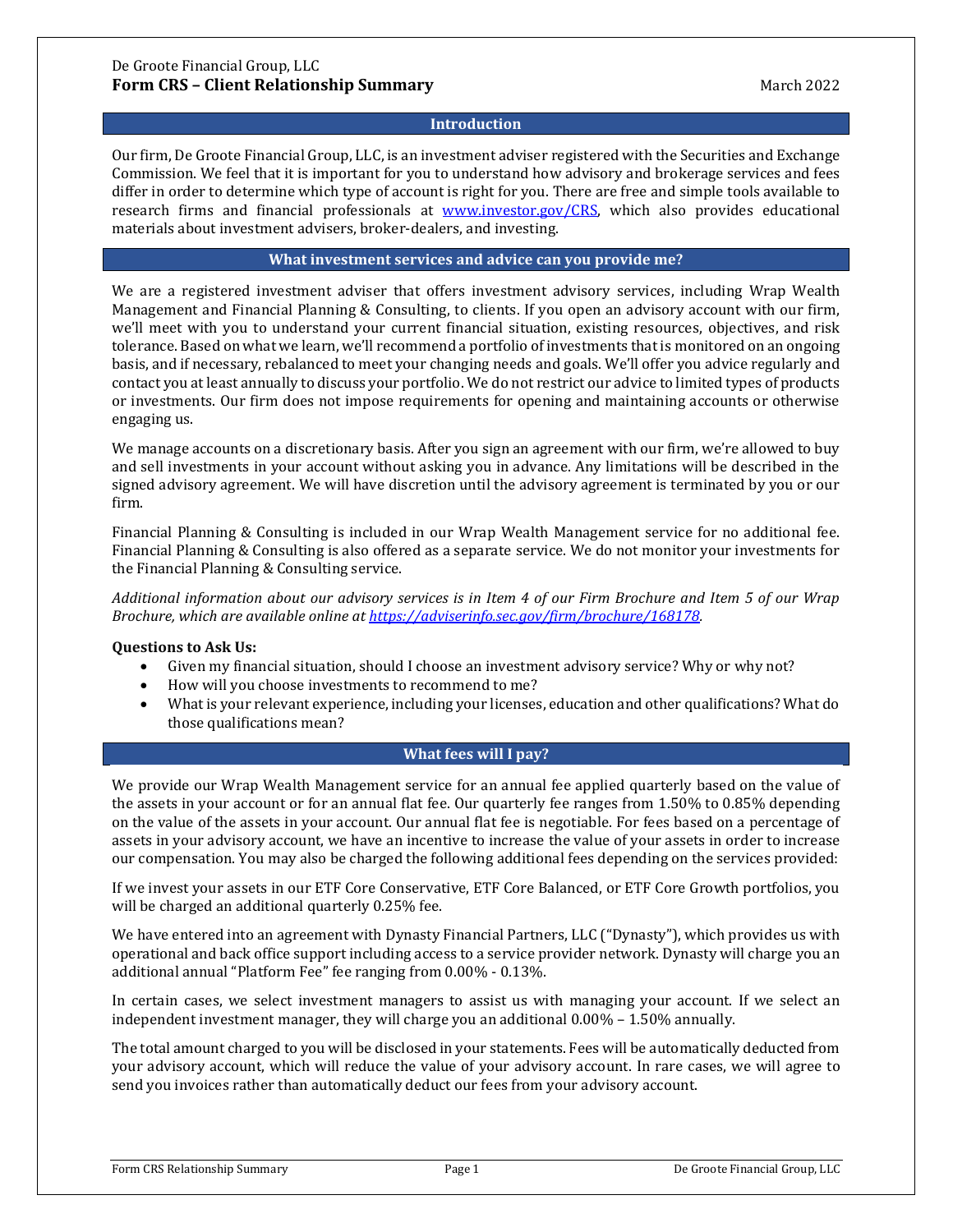## **Introduction**

Our firm, De Groote Financial Group, LLC, is an investment adviser registered with the Securities and Exchange Commission. We feel that it is important for you to understand how advisory and brokerage services and fees differ in order to determine which type of account is right for you. There are free and simple tools available to research firms and financial professionals at [www.investor.gov/CRS,](http://www.investor.gov/CRS) which also provides educational materials about investment advisers, broker-dealers, and investing.

## **What investment services and advice can you provide me?**

We are a registered investment adviser that offers investment advisory services, including Wrap Wealth Management and Financial Planning & Consulting, to clients. If you open an advisory account with our firm, we'll meet with you to understand your current financial situation, existing resources, objectives, and risk tolerance. Based on what we learn, we'll recommend a portfolio of investments that is monitored on an ongoing basis, and if necessary, rebalanced to meet your changing needs and goals. We'll offer you advice regularly and contact you at least annually to discuss your portfolio. We do not restrict our advice to limited types of products or investments. Our firm does not impose requirements for opening and maintaining accounts or otherwise engaging us.

We manage accounts on a discretionary basis. After you sign an agreement with our firm, we're allowed to buy and sell investments in your account without asking you in advance. Any limitations will be described in the signed advisory agreement. We will have discretion until the advisory agreement is terminated by you or our firm.

Financial Planning & Consulting is included in our Wrap Wealth Management service for no additional fee. Financial Planning & Consulting is also offered as a separate service. We do not monitor your investments for the Financial Planning & Consulting service.

*Additional information about our advisory services is in Item 4 of our Firm Brochure and Item 5 of our Wrap Brochure, which are available online at [https://adviserinfo.sec.gov/firm/brochure/168178.](https://adviserinfo.sec.gov/firm/brochure/168178)*

#### **Questions to Ask Us:**

- Given my financial situation, should I choose an investment advisory service? Why or why not?
- How will you choose investments to recommend to me?
- What is your relevant experience, including your licenses, education and other qualifications? What do those qualifications mean?

# **What fees will I pay?**

We provide our Wrap Wealth Management service for an annual fee applied quarterly based on the value of the assets in your account or for an annual flat fee. Our quarterly fee ranges from 1.50% to 0.85% depending on the value of the assets in your account. Our annual flat fee is negotiable. For fees based on a percentage of assets in your advisory account, we have an incentive to increase the value of your assets in order to increase our compensation. You may also be charged the following additional fees depending on the services provided:

If we invest your assets in our ETF Core Conservative, ETF Core Balanced, or ETF Core Growth portfolios, you will be charged an additional quarterly 0.25% fee.

We have entered into an agreement with Dynasty Financial Partners, LLC ("Dynasty"), which provides us with operational and back office support including access to a service provider network. Dynasty will charge you an additional annual "Platform Fee" fee ranging from 0.00% - 0.13%.

In certain cases, we select investment managers to assist us with managing your account. If we select an independent investment manager, they will charge you an additional 0.00% – 1.50% annually.

The total amount charged to you will be disclosed in your statements. Fees will be automatically deducted from your advisory account, which will reduce the value of your advisory account. In rare cases, we will agree to send you invoices rather than automatically deduct our fees from your advisory account.